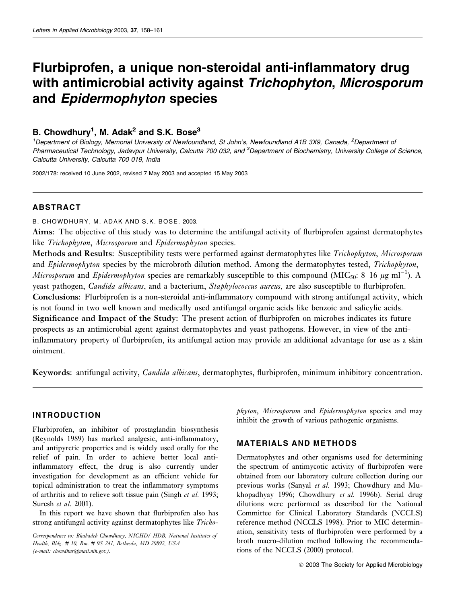# Flurbiprofen, a unique non-steroidal anti-inflammatory drug with antimicrobial activity against Trichophyton, Microsporum and Epidermophyton species

## B. Chowdhury<sup>1</sup>, M. Adak<sup>2</sup> and S.K. Bose<sup>3</sup>

<sup>1</sup>Department of Biology, Memorial University of Newfoundland, St John's, Newfoundland A1B 3X9, Canada, <sup>2</sup>Department of Pharmaceutical Technology, Jadavpur University, Calcutta 700 032, and <sup>3</sup>Department of Biochemistry, University College of Science, Calcutta University, Calcutta 700 019, India

2002/178: received 10 June 2002, revised 7 May 2003 and accepted 15 May 2003

## ABSTRACT

B. CHOWDHURY, M. ADAK AND S.K. BOSE. 2003.

Aims: The objective of this study was to determine the antifungal activity of flurbiprofen against dermatophytes like *Trichophyton*, *Microsporum* and *Epidermophyton* species.

Methods and Results: Susceptibility tests were performed against dermatophytes like *Trichophyton*, *Microsporum* and *Epidermophyton* species by the microbroth dilution method. Among the dermatophytes tested, *Trichophyton*, *Microsporum* and *Epidermophyton* species are remarkably susceptible to this compound (MIC<sub>50</sub>: 8–16  $\mu$ g ml<sup>-1</sup>). A yeast pathogen, *Candida albicans*, and a bacterium, *Staphylococcus aureus*, are also susceptible to flurbiprofen. Conclusions: Flurbiprofen is a non-steroidal anti-inflammatory compound with strong antifungal activity, which is not found in two well known and medically used antifungal organic acids like benzoic and salicylic acids. Significance and Impact of the Study: The present action of flurbiprofen on microbes indicates its future prospects as an antimicrobial agent against dermatophytes and yeast pathogens. However, in view of the antiinflammatory property of flurbiprofen, its antifungal action may provide an additional advantage for use as a skin ointment.

Keywords: antifungal activity, *Candida albicans*, dermatophytes, flurbiprofen, minimum inhibitory concentration.

## INTRODUCTION

Flurbiprofen, an inhibitor of prostaglandin biosynthesis (Reynolds 1989) has marked analgesic, anti-inflammatory, and antipyretic properties and is widely used orally for the relief of pain. In order to achieve better local antiinflammatory effect, the drug is also currently under investigation for development as an efficient vehicle for topical administration to treat the inflammatory symptoms of arthritis and to relieve soft tissue pain (Singh *et al.* 1993; Suresh *et al.* 2001).

In this report we have shown that flurbiprofen also has strong antifungal activity against dermatophytes like *Tricho-* *phyton*, *Microsporum* and *Epidermophyton* species and may inhibit the growth of various pathogenic organisms.

## MATERIALS AND METHODS

Dermatophytes and other organisms used for determining the spectrum of antimycotic activity of flurbiprofen were obtained from our laboratory culture collection during our previous works (Sanyal *et al.* 1993; Chowdhury and Mukhopadhyay 1996; Chowdhury *et al.* 1996b). Serial drug dilutions were performed as described for the National Committee for Clinical Laboratory Standards (NCCLS) reference method (NCCLS 1998). Prior to MIC determination, sensitivity tests of flurbiprofen were performed by a broth macro-dilution method following the recommendations of the NCCLS (2000) protocol.

*Correspondence to: Bhabadeb Chowdhury, NICHD/ HDB, National Institutes of Health, Bldg. # 10, Rm. # 9S 241, Bethesda, MD 20892, USA (e-mail: chowdhur@mail.nih.gov).*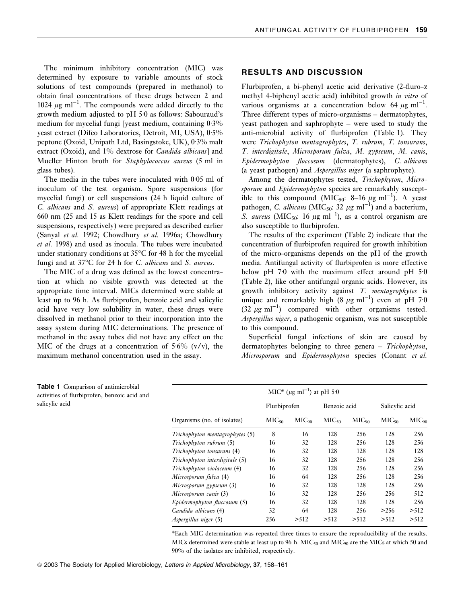The minimum inhibitory concentration (MIC) was determined by exposure to variable amounts of stock solutions of test compounds (prepared in methanol) to obtain final concentrations of these drugs between 2 and  $1024 \mu g$  ml<sup>-1</sup>. The compounds were added directly to the growth medium adjusted to  $pH$  5 $0$  as follows: Sabouraud's medium for mycelial fungi [yeast medium, containing  $0.3\%$ yeast extract (Difco Laboratories, Detroit, MI, USA), 0.5% peptone (Oxoid, Unipath Ltd, Basingstoke, UK),  $0.3\%$  malt extract (Oxoid), and 1% dextrose for *Candida albicans*] and Mueller Hinton broth for *Staphylococcus aureus* (5 ml in glass tubes).

The media in the tubes were inoculated with  $0.05$  ml of inoculum of the test organism. Spore suspensions (for mycelial fungi) or cell suspensions (24 h liquid culture of *C. albicans* and *S. aureus*) of appropriate Klett readings at 660 nm (25 and 15 as Klett readings for the spore and cell suspensions, respectively) were prepared as described earlier (Sanyal *et al.* 1992; Chowdhury *et al.* 1996a; Chowdhury *et al.* 1998) and used as inocula. The tubes were incubated under stationary conditions at 35°C for 48 h for the mycelial fungi and at 37°C for 24 h for *C. albicans* and *S. aureus*.

The MIC of a drug was defined as the lowest concentration at which no visible growth was detected at the appropriate time interval. MICs determined were stable at least up to 96 h. As flurbiprofen, benzoic acid and salicylic acid have very low solubility in water, these drugs were dissolved in methanol prior to their incorporation into the assay system during MIC determinations. The presence of methanol in the assay tubes did not have any effect on the MIC of the drugs at a concentration of  $5.6\%$  (v/v), the maximum methanol concentration used in the assay.

#### RESULTS AND DISCUSSION

Flurbiprofen, a bi-phenyl acetic acid derivative  $(2$ -fluro- $\alpha$ methyl 4-biphenyl acetic acid) inhibited growth *in vitro* of various organisms at a concentration below  $64 \mu g \text{ ml}^{-1}$ . Three different types of micro-organisms – dermatophytes, yeast pathogen and saphrophyte – were used to study the anti-microbial activity of flurbiprofen (Table 1). They were *Trichophyton mentagrophytes*, *T. rubrum*, *T. tonsurans*, *T. interdigitale*, *Microsporum fulva*, *M. gypseum*, *M. canis*, *Epidermophyton floccosum* (dermatophytes), *C. albicans* (a yeast pathogen) and *Aspergillus niger* (a saphrophyte).

Among the dermatophytes tested, *Trichophyton*, *Microsporum* and *Epidermophyton* species are remarkably susceptible to this compound  $(MIC_{50}$ : 8-16  $\mu$ g ml<sup>-1</sup>). A yeast pathogen, *C. albicans* (MIC<sub>50</sub>: 32  $\mu$ g ml<sup>-1</sup>) and a bacterium, S. *aureus* (MIC<sub>50</sub>: 16  $\mu$ g ml<sup>-1</sup>), as a control organism are also susceptible to flurbiprofen.

The results of the experiment (Table 2) indicate that the concentration of flurbiprofen required for growth inhibition of the micro-organisms depends on the pH of the growth media. Antifungal activity of flurbiprofen is more effective below pH  $70$  with the maximum effect around pH  $50$ (Table 2), like other antifungal organic acids. However, its growth inhibitory activity against *T. mentagrophytes* is unique and remarkably high  $(8 \mu g \text{ ml}^{-1})$  even at pH 7.0  $(32 \mu g \text{ ml}^{-1})$  compared with other organisms tested. *Aspergillus niger*, a pathogenic organism, was not susceptible to this compound.

Superficial fungal infections of skin are caused by dermatophytes belonging to three genera – *Trichophyton*, *Microsporum* and *Epidermophyton* species (Conant *et al.*

| Organisms (no. of isolates)         | MIC* ( $\mu$ g ml <sup>-1</sup> ) at pH 5.0 |                   |                   |            |                   |            |  |  |
|-------------------------------------|---------------------------------------------|-------------------|-------------------|------------|-------------------|------------|--|--|
|                                     | Flurbiprofen                                |                   | Benzoic acid      |            | Salicylic acid    |            |  |  |
|                                     | MIC <sub>50</sub>                           | MIC <sub>90</sub> | MIC <sub>50</sub> | $MIC_{90}$ | MIC <sub>50</sub> | $MIC_{90}$ |  |  |
| $Trichophyton$ mentagrophytes $(5)$ | 8                                           | 16                | 128               | 256        | 128               | 256        |  |  |
| Trichophyton rubrum (5)             | 16                                          | 32                | 128               | 256        | 128               | 256        |  |  |
| Trichophyton tonsurans (4)          | 16                                          | 32                | 128               | 128        | 128               | 128        |  |  |
| $Trichophyton$ interdigitale $(5)$  | 16                                          | 32                | 128               | 256        | 128               | 256        |  |  |
| Trichophyton violaceum (4)          | 16                                          | 32                | 128               | 256        | 128               | 256        |  |  |
| Microsporum fulva (4)               | 16                                          | 64                | 128               | 256        | 128               | 256        |  |  |
| Microsporum gypseum (3)             | 16                                          | 32                | 128               | 128        | 128               | 256        |  |  |
| Microsporum canis (3)               | 16                                          | 32                | 128               | 256        | 256               | 512        |  |  |
| $Epidermophyton$ fluccosum $(5)$    | 16                                          | 32                | 128               | 128        | 128               | 256        |  |  |
| Candida albicans (4)                | 32                                          | 64                | 128               | 256        | >256              | > 512      |  |  |
| Aspergillus niger (5)               | 256                                         | > 512             | > 512             | > 512      | > 512             | > 512      |  |  |

\*Each MIC determination was repeated three times to ensure the reproducibility of the results. MICs determined were stable at least up to 96 h. MIC<sub>50</sub> and MIC<sub>90</sub> are the MICs at which 50 and 90% of the isolates are inhibited, respectively.

Table 1 Comparison of antimicrobial activities of flurbiprofen, benzoic acid and salicylic acid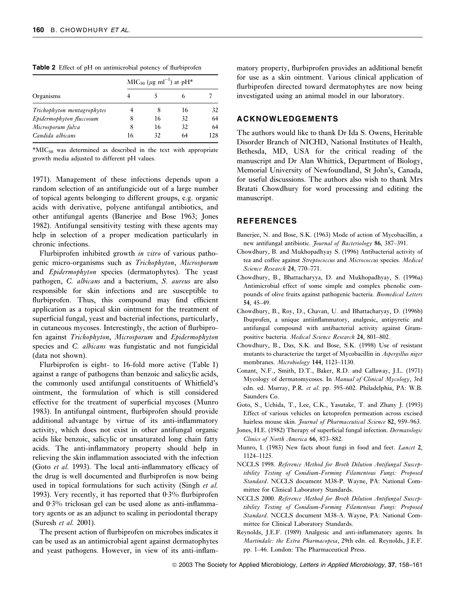|                             | $MIC50$ (µg ml <sup>-1</sup> ) at pH <sup>*</sup> |    |    |     |
|-----------------------------|---------------------------------------------------|----|----|-----|
| Organisms                   |                                                   |    |    |     |
| Trichophyton mentagrophytes |                                                   | 8  | 16 | 32  |
| Epidermophyton fluccosum    | 8                                                 | 16 | 32 | 64  |
| Microsporum fulva           | 8                                                 | 16 | 32 | 64  |
| Candida albicans            | 16                                                | 32 |    | 128 |

 $*$ MIC<sub>50</sub> was determined as described in the text with appropriate growth media adjusted to different pH values.

1971). Management of these infections depends upon a random selection of an antifungicide out of a large number of topical agents belonging to different groups, e.g. organic acids with derivative, polyene antifungal antibiotics, and other antifungal agents (Banerjee and Bose 1963; Jones 1982). Antifungal sensitivity testing with these agents may help in selection of a proper medication particularly in chronic infections.

Flurbiprofen inhibited growth *in vitro* of various pathogenic micro-organisms such as *Trichophyton*, *Microsporum* and *Epidermophyton* species (dermatophytes). The yeast pathogen, *C. albicans* and a bacterium, *S. aureus* are also responsible for skin infections and are susceptible to flurbiprofen. Thus, this compound may find efficient application as a topical skin ointment for the treatment of superficial fungal, yeast and bacterial infections, particularly, in cutaneous mycoses. Interestingly, the action of flurbiprofen against *Trichophyton*, *Microsporum* and *Epidermophyton* species and *C. albicans* was fungistatic and not fungicidal (data not shown).

Flurbiprofen is eight- to 16-fold more active (Table 1) against a range of pathogens than benzoic and salicylic acids, the commonly used antifungal constituents of Whitfield's ointment, the formulation of which is still considered effective for the treatment of superficial mycoses (Munro 1983). In antifungal ointment, flurbiprofen should provide additional advantage by virtue of its anti-inflammatory activity, which does not exist in other antifungal organic acids like benzoic, salicylic or unsaturated long chain fatty acids. The anti-inflammatory property should help in relieving the skin inflammation associated with the infection (Goto *et al.* 1993). The local anti-inflammatory efficacy of the drug is well documented and flurbiprofen is now being used in topical formulations for such activity (Singh *et al.* 1993). Very recently, it has reported that  $0.3\%$  flurbiprofen and  $0.3\%$  triclosan gel can be used alone as anti-inflammatory agents or as an adjunct to scaling in periodontal therapy (Suresh *et al.* 2001).

The present action of flurbiprofen on microbes indicates it can be used as an antimicrobial agent against dermatophytes and yeast pathogens. However, in view of its anti-inflam-

matory property, flurbiprofen provides an additional benefit for use as a skin ointment. Various clinical application of flurbiprofen directed toward dermatophytes are now being investigated using an animal model in our laboratory.

## ACKNOWLEDGEMENTS

The authors would like to thank Dr Ida S. Owens, Heritable Disorder Branch of NICHD, National Institutes of Health, Bethesda, MD, USA for the critical reading of the manuscript and Dr Alan Whittick, Department of Biology, Memorial University of Newfoundland, St John's, Canada, for useful discussions. The authors also wish to thank Mrs Bratati Chowdhury for word processing and editing the manuscript.

### REFERENCES

- Banerjee, N. and Bose, S.K. (1963) Mode of action of Mycobacillin, a new antifungal antibiotic. *Journal of Bacteriology* 86, 387–391.
- Chowdhury, B. and Mukhopadhyay S. (1996) Antibacterial activity of tea and coffee against *Streptococcus* and *Micrococcus* species. *Medical Science Research* 24, 770–771.
- Chowdhury, B., Bhattacharyya, D. and Mukhopadhyay, S. (1996a) Antimicrobial effect of some simple and complex phenolic compounds of olive fruits against pathogenic bacteria. *Biomedical Letters* 54, 45–49.
- Chowdhury, B., Roy, D., Chavan, U. and Bhattacharyay, D. (1996b) Ibuprofen, a unique antiinflammatory, analgesic, antipyretic and antifungal compound with antibacterial activity against Grampositive bacteria. *Medical Science Research* 24, 801–802.
- Chowdhury, B., Das, S.K. and Bose, S.K. (1998) Use of resistant mutants to characterize the target of Mycobacillin in *Aspergillus niger* membranes. *Microbiology* 144, 1123–1130.
- Conant, N.F., Smith, D.T., Baker, R.D. and Callaway, J.L. (1971) Mycology of dermatomycoses. In *Manual of Clinical Mycology*, 3rd edn. ed. Murray, P.R. *et al*. pp. 595–602. Philadelphia, PA: W.B. Saunders Co.
- Goto, S., Uchida, T., Lee, C.K., Yasutake, T. and Zhany J. (1993) Effect of various vehicles on ketoprofen permeation across excised hairless mouse skin. *Journal of Pharmaceutical Science* 82, 959–963.
- Jones, H.E. (1982) Therapy of superficial fungal infection. *Dermatologic Clinics of North America* 66, 873–882.
- Munro, I. (1983) New facts about fungi in food and feet. *Lancet* 2, 1124–1125.
- NCCLS 1998. *Reference Method for Broth Dilution Antifungal Susceptibility Testing of Conidium-Forming Filamentous Fungi: Proposed Standard*. NCCLS document M38-P. Wayne, PA: National Committee for Clinical Laboratory Standards.
- NCCLS 2000. *Reference Method for Broth Dilution Antifungal Susceptibility Testing of Conidium-Forming Filamentous Fungi: Proposed Standard*. NCCLS document M38-A. Wayne, PA: National Committee for Clinical Laboratory Standards.
- Reynolds, J.E.F. (1989) Analgesic and anti-inflammatory agents. In *Martindale: the Extra Pharmacopeia*, 29th edn. ed. Reynolds, J.E.F. pp. 1–46. London: The Pharmaceutical Press.